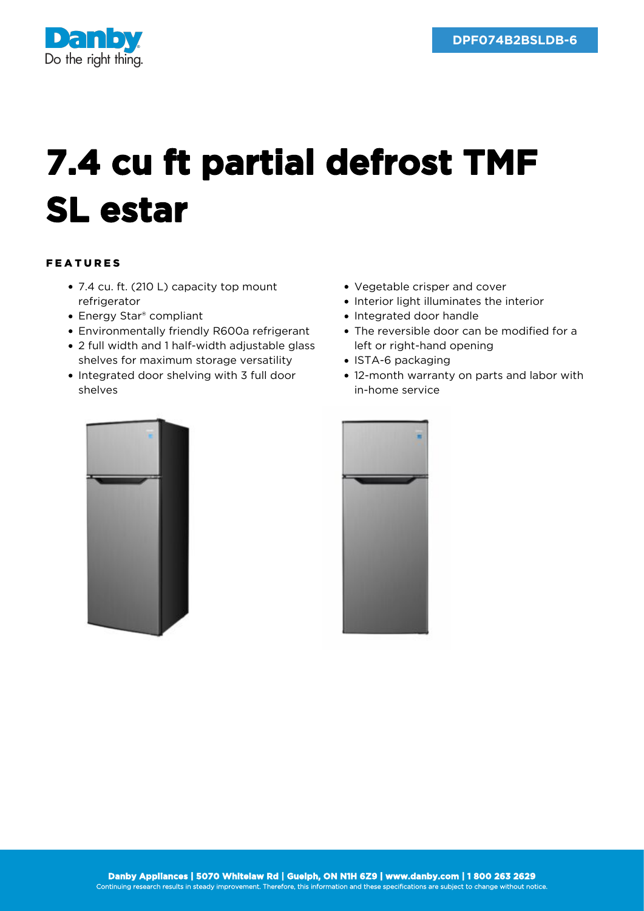

## **7.4 cu ft partial defrost TMF SL estar**

## FEATURES

- 7.4 cu. ft. (210 L) capacity top mount refrigerator
- Energy Star<sup>®</sup> compliant
- Environmentally friendly R600a refrigerant
- 2 full width and 1 half-width adjustable glass shelves for maximum storage versatility
- Integrated door shelving with 3 full door shelves
- Vegetable crisper and cover
- Interior light illuminates the interior
- Integrated door handle
- The reversible door can be modified for a left or right-hand opening
- ISTA-6 packaging
- 12-month warranty on parts and labor with in-home service